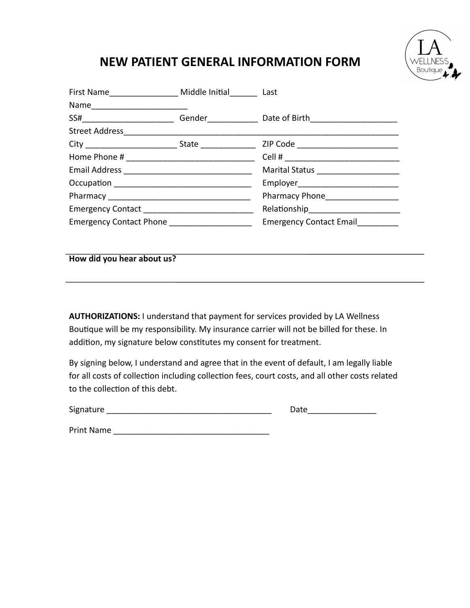## **NEW PATIENT GENERAL INFORMATION FORM**

| First Name__________________ Middle Initial_______ Last |  |                                        |  |
|---------------------------------------------------------|--|----------------------------------------|--|
| Name___________________________                         |  |                                        |  |
| SS#__________________________                           |  |                                        |  |
| Street Address____________                              |  |                                        |  |
|                                                         |  |                                        |  |
|                                                         |  |                                        |  |
|                                                         |  | Marital Status _______________________ |  |
|                                                         |  | Employer____________________________   |  |
|                                                         |  | Pharmacy Phone__________________       |  |
|                                                         |  |                                        |  |
| Emergency Contact Phone ____________________            |  | <b>Emergency Contact Email</b>         |  |

**How did you hear about us?** 

**AUTHORIZATIONS:** I understand that payment for services provided by LA Wellness Boutique will be my responsibility. My insurance carrier will not be billed for these. In addition, my signature below constitutes my consent for treatment.

By signing below, I understand and agree that in the event of default, I am legally liable for all costs of collection including collection fees, court costs, and all other costs related to the collection of this debt.

Signature **Example 2018** and the set of the set of the set of the Date  $\alpha$ 

Print Name \_\_\_\_\_\_\_\_\_\_\_\_\_\_\_\_\_\_\_\_\_\_\_\_\_\_\_\_\_\_\_\_\_\_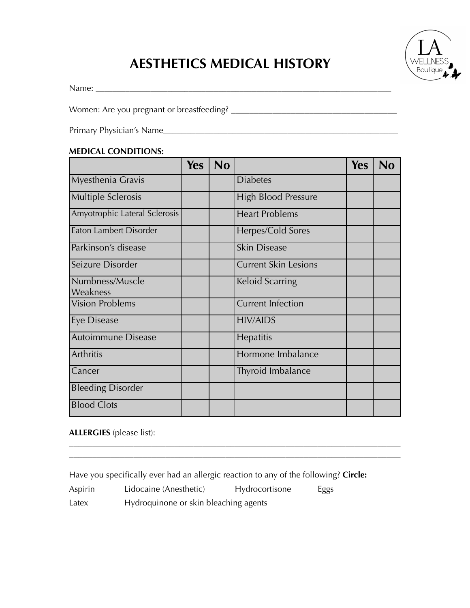# **AESTHETICS MEDICAL HISTORY**

Name: \_\_\_\_\_\_\_\_\_\_\_\_\_\_\_\_\_\_\_\_\_\_\_\_\_\_\_\_\_\_\_\_\_\_\_\_\_\_\_\_\_\_\_\_\_\_\_\_\_\_\_\_\_\_\_\_\_\_\_\_\_\_\_\_\_\_\_\_\_

Women: Are you pregnant or breastfeeding? \_\_\_\_\_\_\_\_\_\_\_\_\_\_\_\_\_\_\_\_\_\_\_\_\_\_\_\_\_\_\_\_\_\_\_\_

Primary Physician's Name\_\_\_\_\_\_\_\_\_\_\_\_\_\_\_\_\_\_\_\_\_\_\_\_\_\_\_\_\_\_\_\_\_\_\_\_\_\_\_\_\_\_\_\_\_\_\_\_\_\_\_

### **MEDICAL CONDITIONS:**

|                               | <b>Yes</b> | N <sub>0</sub> |                             | <b>Yes</b> | No |
|-------------------------------|------------|----------------|-----------------------------|------------|----|
| Myesthenia Gravis             |            |                | <b>Diabetes</b>             |            |    |
| <b>Multiple Sclerosis</b>     |            |                | <b>High Blood Pressure</b>  |            |    |
| Amyotrophic Lateral Sclerosis |            |                | <b>Heart Problems</b>       |            |    |
| Eaton Lambert Disorder        |            |                | Herpes/Cold Sores           |            |    |
| Parkinson's disease           |            |                | <b>Skin Disease</b>         |            |    |
| Seizure Disorder              |            |                | <b>Current Skin Lesions</b> |            |    |
| Numbness/Muscle<br>Weakness   |            |                | Keloid Scarring             |            |    |
| <b>Vision Problems</b>        |            |                | <b>Current Infection</b>    |            |    |
| Eye Disease                   |            |                | <b>HIV/AIDS</b>             |            |    |
| Autoimmune Disease            |            |                | Hepatitis                   |            |    |
| Arthritis                     |            |                | Hormone Imbalance           |            |    |
| Cancer                        |            |                | Thyroid Imbalance           |            |    |
| <b>Bleeding Disorder</b>      |            |                |                             |            |    |
| <b>Blood Clots</b>            |            |                |                             |            |    |

### **ALLERGIES** (please list):

Have you specifically ever had an allergic reaction to any of the following? **Circle:**

\_\_\_\_\_\_\_\_\_\_\_\_\_\_\_\_\_\_\_\_\_\_\_\_\_\_\_\_\_\_\_\_\_\_\_\_\_\_\_\_\_\_\_\_\_\_\_\_\_\_\_\_\_\_\_\_\_\_\_\_\_\_\_\_\_\_\_\_\_\_\_\_ \_\_\_\_\_\_\_\_\_\_\_\_\_\_\_\_\_\_\_\_\_\_\_\_\_\_\_\_\_\_\_\_\_\_\_\_\_\_\_\_\_\_\_\_\_\_\_\_\_\_\_\_\_\_\_\_\_\_\_\_\_\_\_\_\_\_\_\_\_\_\_\_

Aspirin Lidocaine (Anesthetic) Hydrocortisone Eggs

Latex Hydroquinone or skin bleaching agents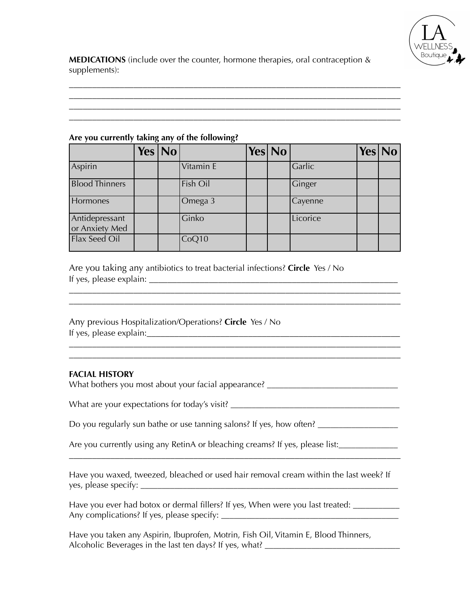

**MEDICATIONS** (include over the counter, hormone therapies, oral contraception & supplements):

\_\_\_\_\_\_\_\_\_\_\_\_\_\_\_\_\_\_\_\_\_\_\_\_\_\_\_\_\_\_\_\_\_\_\_\_\_\_\_\_\_\_\_\_\_\_\_\_\_\_\_\_\_\_\_\_\_\_\_\_\_\_\_\_\_\_\_\_\_\_\_\_ \_\_\_\_\_\_\_\_\_\_\_\_\_\_\_\_\_\_\_\_\_\_\_\_\_\_\_\_\_\_\_\_\_\_\_\_\_\_\_\_\_\_\_\_\_\_\_\_\_\_\_\_\_\_\_\_\_\_\_\_\_\_\_\_\_\_\_\_\_\_\_\_ \_\_\_\_\_\_\_\_\_\_\_\_\_\_\_\_\_\_\_\_\_\_\_\_\_\_\_\_\_\_\_\_\_\_\_\_\_\_\_\_\_\_\_\_\_\_\_\_\_\_\_\_\_\_\_\_\_\_\_\_\_\_\_\_\_\_\_\_\_\_\_\_

### **Are you currently taking any of the following?**

|                                  | Yes $\vert$ No $\vert$ |           | Yes No |          | Yes No |  |
|----------------------------------|------------------------|-----------|--------|----------|--------|--|
| Aspirin                          |                        | Vitamin E |        | Garlic   |        |  |
| <b>Blood Thinners</b>            |                        | Fish Oil  |        | Ginger   |        |  |
| Hormones                         |                        | Omega 3   |        | Cayenne  |        |  |
| Antidepressant<br>or Anxiety Med |                        | Ginko     |        | Licorice |        |  |
| Flax Seed Oil                    |                        | CoQ10     |        |          |        |  |

 $\mathcal{L}_\text{max}$  and  $\mathcal{L}_\text{max}$  and  $\mathcal{L}_\text{max}$  and  $\mathcal{L}_\text{max}$  and  $\mathcal{L}_\text{max}$  and  $\mathcal{L}_\text{max}$ \_\_\_\_\_\_\_\_\_\_\_\_\_\_\_\_\_\_\_\_\_\_\_\_\_\_\_\_\_\_\_\_\_\_\_\_\_\_\_\_\_\_\_\_\_\_\_\_\_\_\_\_\_\_\_\_\_\_\_\_\_\_\_\_\_\_\_\_\_\_\_\_

\_\_\_\_\_\_\_\_\_\_\_\_\_\_\_\_\_\_\_\_\_\_\_\_\_\_\_\_\_\_\_\_\_\_\_\_\_\_\_\_\_\_\_\_\_\_\_\_\_\_\_\_\_\_\_\_\_\_\_\_\_\_\_\_\_\_\_\_\_\_\_\_

Are you taking any antibiotics to treat bacterial infections? **Circle** Yes / No If yes, please explain: \_\_\_\_\_\_\_\_\_\_\_\_\_\_\_\_\_\_\_\_\_\_\_\_\_\_\_\_\_\_\_\_\_\_\_\_\_\_\_\_\_\_\_\_\_\_\_\_\_\_\_\_\_\_

Any previous Hospitalization/Operations? **Circle** Yes / No If yes, please explain:  $\frac{1}{2}$  is the set of the set of the set of the set of the set of the set of the set of the set of the set of the set of the set of the set of the set of the set of the set of the set of the set

### **FACIAL HISTORY**

What bothers you most about your facial appearance? \_\_\_\_\_\_\_\_\_\_\_\_\_\_\_\_\_\_\_\_\_\_\_\_\_\_\_\_

What are your expectations for today's visit? \_\_\_\_\_\_\_\_\_\_\_\_\_\_\_\_\_\_\_\_\_\_\_\_\_\_\_\_\_\_\_\_\_\_

Do you regularly sun bathe or use tanning salons? If yes, how often? \_\_\_\_\_\_\_\_\_\_\_\_

Are you currently using any RetinA or bleaching creams? If yes, please list:

Have you waxed, tweezed, bleached or used hair removal cream within the last week? If yes, please specify: \_\_\_\_\_\_\_\_\_\_\_\_\_\_\_\_\_\_\_\_\_\_\_\_\_\_\_\_\_\_\_\_\_\_\_\_\_\_\_\_\_\_\_\_\_\_\_\_\_\_\_\_\_\_\_\_\_\_\_\_\_

\_\_\_\_\_\_\_\_\_\_\_\_\_\_\_\_\_\_\_\_\_\_\_\_\_\_\_\_\_\_\_\_\_\_\_\_\_\_\_\_\_\_\_\_\_\_\_\_\_\_\_\_\_\_\_\_\_\_\_\_\_\_\_\_\_\_\_\_\_\_\_\_

Have you ever had botox or dermal fillers? If yes, When were you last treated: \_\_\_\_\_\_\_\_ Any complications? If yes, please specify: \_\_\_\_\_\_\_\_\_\_\_\_\_\_\_\_\_\_\_\_\_\_\_\_\_\_\_\_\_\_\_\_\_\_\_\_\_\_\_\_\_\_

Have you taken any Aspirin, Ibuprofen, Motrin, Fish Oil, Vitamin E, Blood Thinners, Alcoholic Beverages in the last ten days? If yes, what?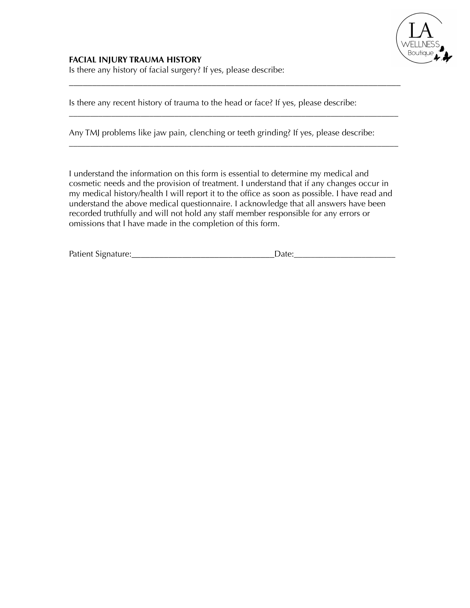

### **FACIAL INJURY TRAUMA HISTORY**

Is there any history of facial surgery? If yes, please describe:

Is there any recent history of trauma to the head or face? If yes, please describe:

Any TMJ problems like jaw pain, clenching or teeth grinding? If yes, please describe:

\_\_\_\_\_\_\_\_\_\_\_\_\_\_\_\_\_\_\_\_\_\_\_\_\_\_\_\_\_\_\_\_\_\_\_\_\_\_\_\_\_\_\_\_\_\_\_\_\_\_\_\_\_\_\_\_\_\_\_\_\_\_\_\_\_\_\_\_\_\_\_\_

\_\_\_\_\_\_\_\_\_\_\_\_\_\_\_\_\_\_\_\_\_\_\_\_\_\_\_\_\_\_\_\_\_\_\_\_\_\_\_\_\_\_\_\_\_\_\_\_\_\_\_\_\_\_\_\_\_\_\_\_\_\_\_\_\_\_\_\_\_\_\_\_\_\_\_\_\_\_

\_\_\_\_\_\_\_\_\_\_\_\_\_\_\_\_\_\_\_\_\_\_\_\_\_\_\_\_\_\_\_\_\_\_\_\_\_\_\_\_\_\_\_\_\_\_\_\_\_\_\_\_\_\_\_\_\_\_\_\_\_\_\_\_\_\_\_\_\_\_\_\_\_\_\_\_\_\_

I understand the information on this form is essential to determine my medical and cosmetic needs and the provision of treatment. I understand that if any changes occur in my medical history/health I will report it to the office as soon as possible. I have read and understand the above medical questionnaire. I acknowledge that all answers have been recorded truthfully and will not hold any staff member responsible for any errors or omissions that I have made in the completion of this form.

| Patient<br>∴∍ibr∵ |  |
|-------------------|--|
|                   |  |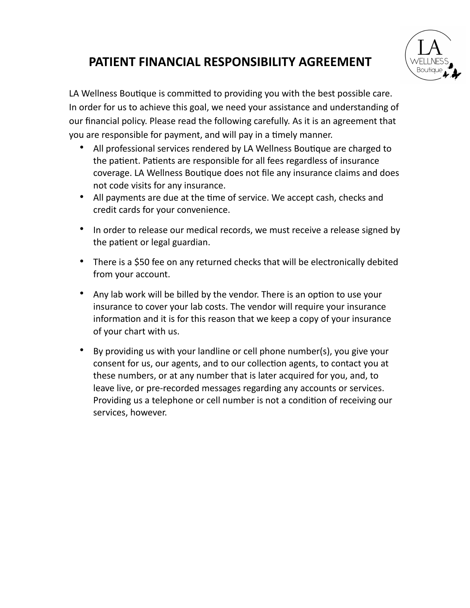## **PATIENT FINANCIAL RESPONSIBILITY AGREEMENT**

LA Wellness Boutique is committed to providing you with the best possible care. In order for us to achieve this goal, we need your assistance and understanding of our financial policy. Please read the following carefully. As it is an agreement that you are responsible for payment, and will pay in a timely manner.

- All professional services rendered by LA Wellness Boutique are charged to the patient. Patients are responsible for all fees regardless of insurance coverage. LA Wellness Boutique does not file any insurance claims and does not code visits for any insurance.
- All payments are due at the time of service. We accept cash, checks and credit cards for your convenience.
- In order to release our medical records, we must receive a release signed by the patient or legal guardian.
- There is a \$50 fee on any returned checks that will be electronically debited from your account.
- Any lab work will be billed by the vendor. There is an option to use your insurance to cover your lab costs. The vendor will require your insurance information and it is for this reason that we keep a copy of your insurance of your chart with us.
- By providing us with your landline or cell phone number(s), you give your consent for us, our agents, and to our collection agents, to contact you at these numbers, or at any number that is later acquired for you, and, to leave live, or pre-recorded messages regarding any accounts or services. Providing us a telephone or cell number is not a condition of receiving our services, however.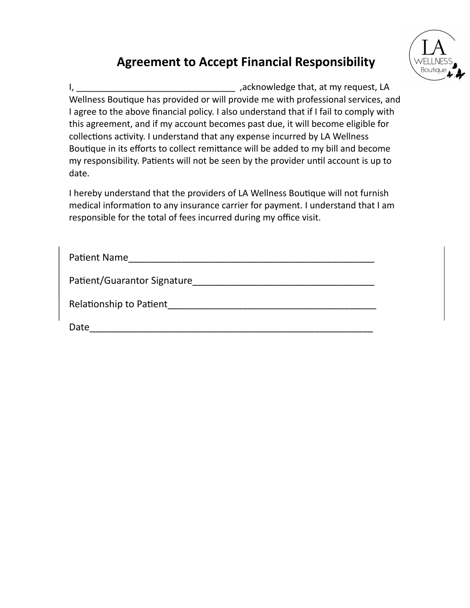## **Agreement to Accept Financial Responsibility**



I, \_\_\_\_\_\_\_\_\_\_\_\_\_\_\_\_\_\_\_\_\_\_\_\_\_\_\_\_\_\_\_\_ ,acknowledge that, at my request, LA Wellness Boutique has provided or will provide me with professional services, and I agree to the above financial policy. I also understand that if I fail to comply with this agreement, and if my account becomes past due, it will become eligible for collections activity. I understand that any expense incurred by LA Wellness Boutique in its efforts to collect remittance will be added to my bill and become my responsibility. Patients will not be seen by the provider until account is up to date.

I hereby understand that the providers of LA Wellness Boutique will not furnish medical information to any insurance carrier for payment. I understand that I am responsible for the total of fees incurred during my office visit.

| <b>Patient Name</b>         |
|-----------------------------|
| Patient/Guarantor Signature |
| Relationship to Patient     |
| Date                        |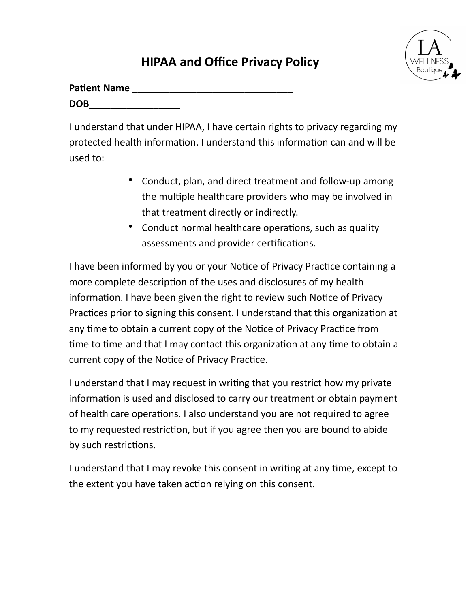## **HIPAA and Office Privacy Policy**

| <b>Patient Name</b> |  |
|---------------------|--|
| <b>DOB</b>          |  |

I understand that under HIPAA, I have certain rights to privacy regarding my protected health information. I understand this information can and will be used to:

- Conduct, plan, and direct treatment and follow-up among the multiple healthcare providers who may be involved in that treatment directly or indirectly.
- Conduct normal healthcare operations, such as quality assessments and provider certifications.

I have been informed by you or your Notice of Privacy Practice containing a more complete description of the uses and disclosures of my health information. I have been given the right to review such Notice of Privacy Practices prior to signing this consent. I understand that this organization at any time to obtain a current copy of the Notice of Privacy Practice from time to time and that I may contact this organization at any time to obtain a current copy of the Notice of Privacy Practice.

I understand that I may request in writing that you restrict how my private information is used and disclosed to carry our treatment or obtain payment of health care operations. I also understand you are not required to agree to my requested restriction, but if you agree then you are bound to abide by such restrictions.

I understand that I may revoke this consent in writing at any time, except to the extent you have taken action relying on this consent.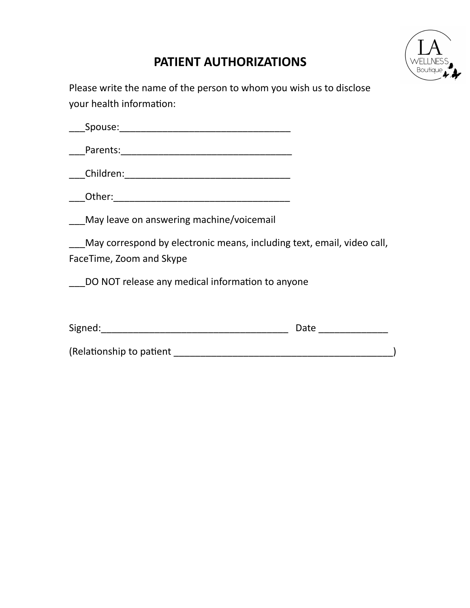## **PATIENT AUTHORIZATIONS**



Please write the name of the person to whom you wish us to disclose your health information:

| Snouse:<br>UUSE.<br>◡◡ |  |  |  |
|------------------------|--|--|--|
|                        |  |  |  |

\_\_\_Parents:\_\_\_\_\_\_\_\_\_\_\_\_\_\_\_\_\_\_\_\_\_\_\_\_\_\_\_\_\_\_\_\_

\_\_\_Children:\_\_\_\_\_\_\_\_\_\_\_\_\_\_\_\_\_\_\_\_\_\_\_\_\_\_\_\_\_\_\_

 $\blacksquare$  Other:

\_\_\_May leave on answering machine/voicemail

\_\_\_May correspond by electronic means, including text, email, video call, FaceTime, Zoom and Skype

DO NOT release any medical information to anyone

| Signed:                  | Date |
|--------------------------|------|
| (Relationship to patient |      |